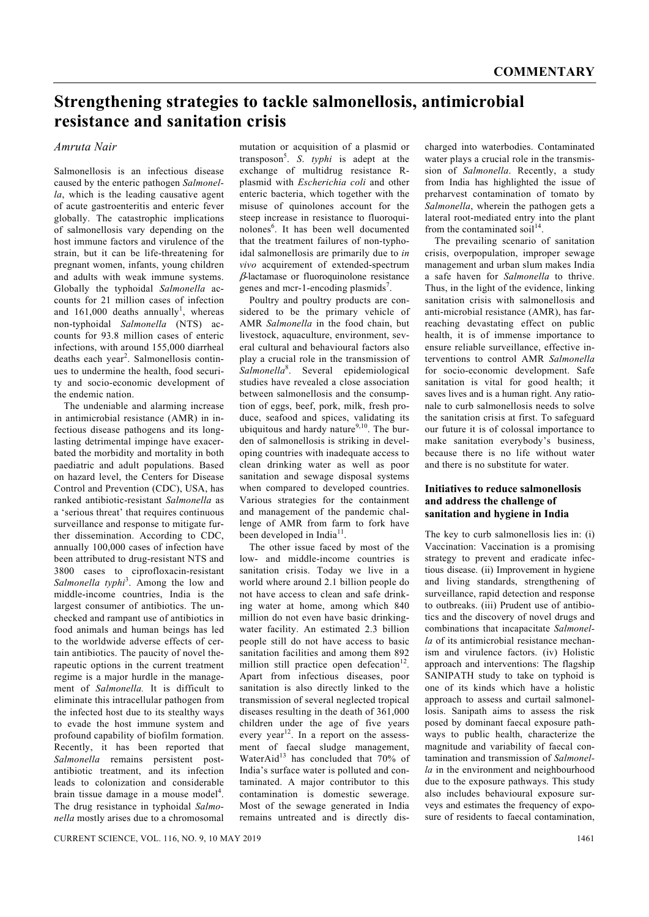# **Strengthening strategies to tackle salmonellosis, antimicrobial resistance and sanitation crisis**

## *Amruta Nair*

Salmonellosis is an infectious disease caused by the enteric pathogen *Salmonella*, which is the leading causative agent of acute gastroenteritis and enteric fever globally. The catastrophic implications of salmonellosis vary depending on the host immune factors and virulence of the strain, but it can be life-threatening for pregnant women, infants, young children and adults with weak immune systems. Globally the typhoidal *Salmonella* accounts for 21 million cases of infection and  $161,000$  deaths annually<sup>1</sup>, whereas non-typhoidal *Salmonella* (NTS) accounts for 93.8 million cases of enteric infections, with around 155,000 diarrheal deaths each year<sup>2</sup>. Salmonellosis continues to undermine the health, food security and socio-economic development of the endemic nation.

 The undeniable and alarming increase in antimicrobial resistance (AMR) in infectious disease pathogens and its longlasting detrimental impinge have exacerbated the morbidity and mortality in both paediatric and adult populations. Based on hazard level, the Centers for Disease Control and Prevention (CDC), USA, has ranked antibiotic-resistant *Salmonella* as a 'serious threat' that requires continuous surveillance and response to mitigate further dissemination. According to CDC, annually 100,000 cases of infection have been attributed to drug-resistant NTS and 3800 cases to ciprofloxacin-resistant Salmonella *typhi*<sup>3</sup>. Among the low and middle-income countries, India is the largest consumer of antibiotics. The unchecked and rampant use of antibiotics in food animals and human beings has led to the worldwide adverse effects of certain antibiotics. The paucity of novel therapeutic options in the current treatment regime is a major hurdle in the management of *Salmonella.* It is difficult to eliminate this intracellular pathogen from the infected host due to its stealthy ways to evade the host immune system and profound capability of biofilm formation. Recently, it has been reported that *Salmonella* remains persistent postantibiotic treatment, and its infection leads to colonization and considerable brain tissue damage in a mouse model<sup>4</sup>. The drug resistance in typhoidal *Salmonella* mostly arises due to a chromosomal

mutation or acquisition of a plasmid or transposon<sup>5</sup> . *S*. *typhi* is adept at the exchange of multidrug resistance Rplasmid with *Escherichia coli* and other enteric bacteria, which together with the misuse of quinolones account for the steep increase in resistance to fluoroquinolones<sup>6</sup>. It has been well documented that the treatment failures of non-typhoidal salmonellosis are primarily due to *in vivo* acquirement of extended-spectrum β-lactamase or fluoroquinolone resistance genes and mcr-1-encoding plasmids<sup>7</sup>.

 Poultry and poultry products are considered to be the primary vehicle of AMR *Salmonella* in the food chain, but livestock, aquaculture, environment, several cultural and behavioural factors also play a crucial role in the transmission of Salmonella<sup>8</sup>. Several epidemiological studies have revealed a close association between salmonellosis and the consumption of eggs, beef, pork, milk, fresh produce, seafood and spices, validating its ubiquitous and hardy nature<sup>9,10</sup>. The burden of salmonellosis is striking in developing countries with inadequate access to clean drinking water as well as poor sanitation and sewage disposal systems when compared to developed countries. Various strategies for the containment and management of the pandemic challenge of AMR from farm to fork have been developed in India<sup>11</sup>.

 The other issue faced by most of the low- and middle-income countries is sanitation crisis. Today we live in a world where around 2.1 billion people do not have access to clean and safe drinking water at home, among which 840 million do not even have basic drinkingwater facility. An estimated 2.3 billion people still do not have access to basic sanitation facilities and among them 892 million still practice open defecation<sup>12</sup>. Apart from infectious diseases, poor sanitation is also directly linked to the transmission of several neglected tropical diseases resulting in the death of 361,000 children under the age of five years every year<sup>12</sup>. In a report on the assessment of faecal sludge management, WaterAid<sup>13</sup> has concluded that 70% of India's surface water is polluted and contaminated. A major contributor to this contamination is domestic sewerage. Most of the sewage generated in India remains untreated and is directly discharged into waterbodies. Contaminated water plays a crucial role in the transmission of *Salmonella*. Recently, a study from India has highlighted the issue of preharvest contamination of tomato by *Salmonella*, wherein the pathogen gets a lateral root-mediated entry into the plant from the contaminated soil<sup>14</sup>

 The prevailing scenario of sanitation crisis, overpopulation, improper sewage management and urban slum makes India a safe haven for *Salmonella* to thrive. Thus, in the light of the evidence, linking sanitation crisis with salmonellosis and anti-microbial resistance (AMR), has farreaching devastating effect on public health, it is of immense importance to ensure reliable surveillance, effective interventions to control AMR *Salmonella*  for socio-economic development. Safe sanitation is vital for good health; it saves lives and is a human right. Any rationale to curb salmonellosis needs to solve the sanitation crisis at first. To safeguard our future it is of colossal importance to make sanitation everybody's business, because there is no life without water and there is no substitute for water.

### **Initiatives to reduce salmonellosis and address the challenge of sanitation and hygiene in India**

The key to curb salmonellosis lies in: (i) Vaccination: Vaccination is a promising strategy to prevent and eradicate infectious disease. (ii) Improvement in hygiene and living standards, strengthening of surveillance, rapid detection and response to outbreaks. (iii) Prudent use of antibiotics and the discovery of novel drugs and combinations that incapacitate *Salmonella* of its antimicrobial resistance mechanism and virulence factors. (iv) Holistic approach and interventions: The flagship SANIPATH study to take on typhoid is one of its kinds which have a holistic approach to assess and curtail salmonellosis. Sanipath aims to assess the risk posed by dominant faecal exposure pathways to public health, characterize the magnitude and variability of faecal contamination and transmission of *Salmonella* in the environment and neighbourhood due to the exposure pathways. This study also includes behavioural exposure surveys and estimates the frequency of exposure of residents to faecal contamination.